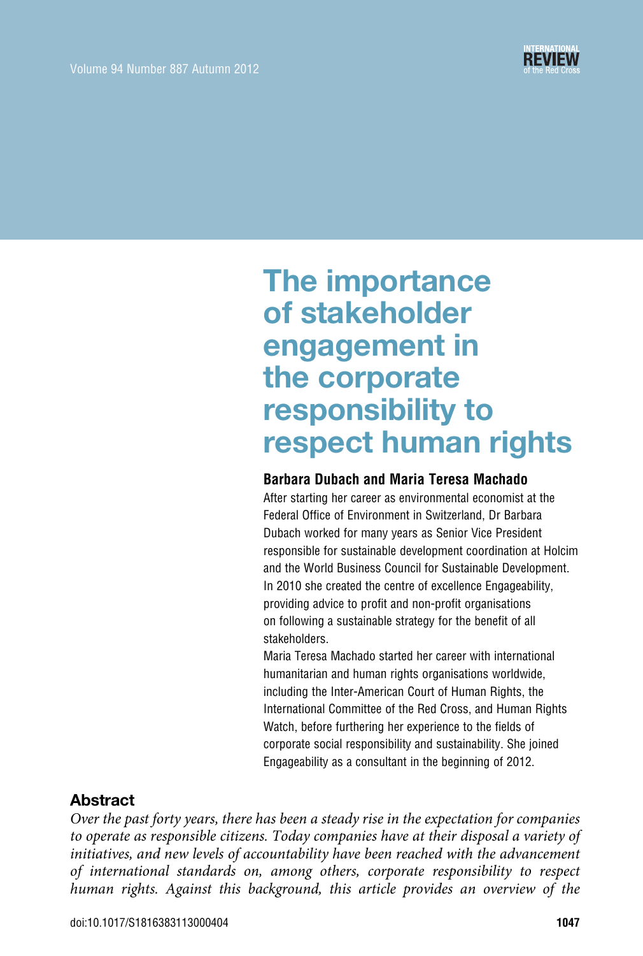# The importance of stakeholder engagement in the corporate responsibility to respect human rights

#### Barbara Dubach and Maria Teresa Machado

After starting her career as environmental economist at the Federal Office of Environment in Switzerland, Dr Barbara Dubach worked for many years as Senior Vice President responsible for sustainable development coordination at Holcim and the World Business Council for Sustainable Development. In 2010 she created the centre of excellence Engageability, providing advice to profit and non-profit organisations on following a sustainable strategy for the benefit of all stakeholders.

Maria Teresa Machado started her career with international humanitarian and human rights organisations worldwide, including the Inter-American Court of Human Rights, the International Committee of the Red Cross, and Human Rights Watch, before furthering her experience to the fields of corporate social responsibility and sustainability. She joined Engageability as a consultant in the beginning of 2012.

#### **Abstract**

Over the past forty years, there has been a steady rise in the expectation for companies to operate as responsible citizens. Today companies have at their disposal a variety of initiatives, and new levels of accountability have been reached with the advancement of international standards on, among others, corporate responsibility to respect human rights. Against this background, this article provides an overview of the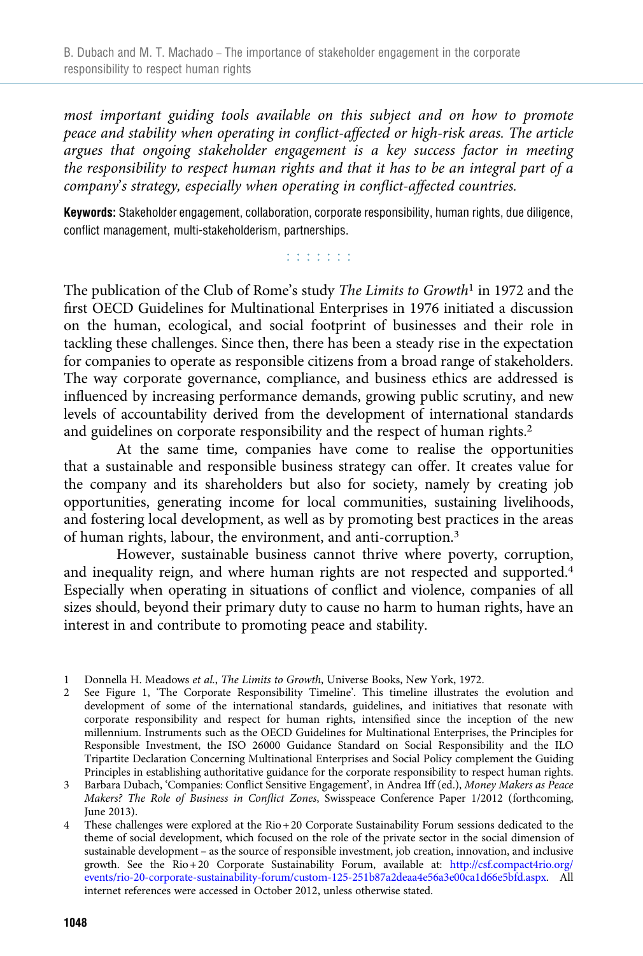most important guiding tools available on this subject and on how to promote peace and stability when operating in conflict-affected or high-risk areas. The article argues that ongoing stakeholder engagement is a key success factor in meeting the responsibility to respect human rights and that it has to be an integral part of a company's strategy, especially when operating in conflict-affected countries.

Keywords: Stakeholder engagement, collaboration, corporate responsibility, human rights, due diligence, conflict management, multi-stakeholderism, partnerships.

**INSTERN** 

The publication of the Club of Rome's study The Limits to Growth<sup>1</sup> in 1972 and the first OECD Guidelines for Multinational Enterprises in 1976 initiated a discussion on the human, ecological, and social footprint of businesses and their role in tackling these challenges. Since then, there has been a steady rise in the expectation for companies to operate as responsible citizens from a broad range of stakeholders. The way corporate governance, compliance, and business ethics are addressed is influenced by increasing performance demands, growing public scrutiny, and new levels of accountability derived from the development of international standards and guidelines on corporate responsibility and the respect of human rights.<sup>2</sup>

At the same time, companies have come to realise the opportunities that a sustainable and responsible business strategy can offer. It creates value for the company and its shareholders but also for society, namely by creating job opportunities, generating income for local communities, sustaining livelihoods, and fostering local development, as well as by promoting best practices in the areas of human rights, labour, the environment, and anti-corruption.3

However, sustainable business cannot thrive where poverty, corruption, and inequality reign, and where human rights are not respected and supported.<sup>4</sup> Especially when operating in situations of conflict and violence, companies of all sizes should, beyond their primary duty to cause no harm to human rights, have an interest in and contribute to promoting peace and stability.

<sup>1</sup> Donnella H. Meadows et al., The Limits to Growth, Universe Books, New York, 1972.

<sup>2</sup> See Figure 1, 'The Corporate Responsibility Timeline'. This timeline illustrates the evolution and development of some of the international standards, guidelines, and initiatives that resonate with corporate responsibility and respect for human rights, intensified since the inception of the new millennium. Instruments such as the OECD Guidelines for Multinational Enterprises, the Principles for Responsible Investment, the ISO 26000 Guidance Standard on Social Responsibility and the ILO Tripartite Declaration Concerning Multinational Enterprises and Social Policy complement the Guiding Principles in establishing authoritative guidance for the corporate responsibility to respect human rights.

<sup>3</sup> Barbara Dubach, 'Companies: Conflict Sensitive Engagement', in Andrea Iff (ed.), Money Makers as Peace Makers? The Role of Business in Conflict Zones, Swisspeace Conference Paper 1/2012 (forthcoming, June 2013).

<sup>4</sup> These challenges were explored at the Rio + 20 Corporate Sustainability Forum sessions dedicated to the theme of social development, which focused on the role of the private sector in the social dimension of sustainable development – as the source of responsible investment, job creation, innovation, and inclusive growth. See the Rio + 20 Corporate Sustainability Forum, available at: [http://csf.compact4rio.org/](http://csf.compact4rio.org/events/rio-20-corporate-sustainability-forum/custom-125-251b87a2deaa4e56a3e00ca1d66e5bfd.aspx) [events/rio-20-corporate-sustainability-forum/custom-125-251b87a2deaa4e56a3e00ca1d66e5bfd.aspx.](http://csf.compact4rio.org/events/rio-20-corporate-sustainability-forum/custom-125-251b87a2deaa4e56a3e00ca1d66e5bfd.aspx) All internet references were accessed in October 2012, unless otherwise stated.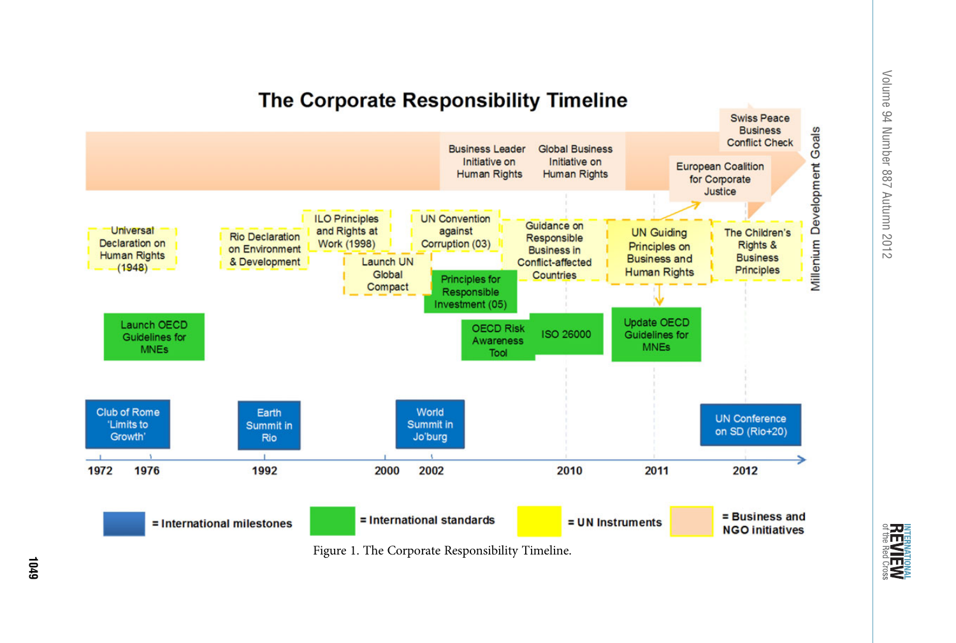

# The Corporate Responsibility Timeline

Figure 1. The Corporate Responsibility Timeline.

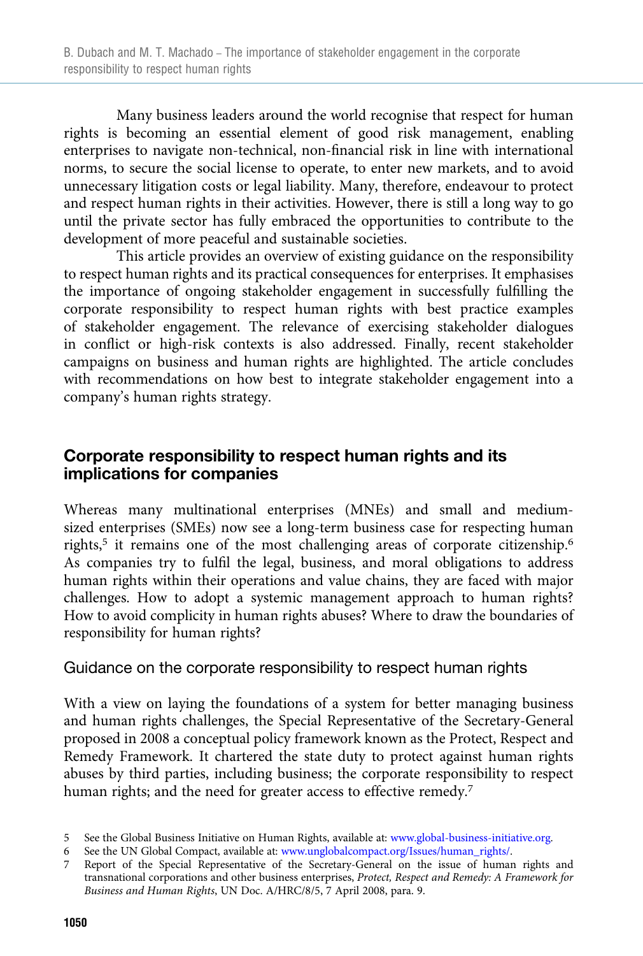Many business leaders around the world recognise that respect for human rights is becoming an essential element of good risk management, enabling enterprises to navigate non-technical, non-financial risk in line with international norms, to secure the social license to operate, to enter new markets, and to avoid unnecessary litigation costs or legal liability. Many, therefore, endeavour to protect and respect human rights in their activities. However, there is still a long way to go until the private sector has fully embraced the opportunities to contribute to the development of more peaceful and sustainable societies.

This article provides an overview of existing guidance on the responsibility to respect human rights and its practical consequences for enterprises. It emphasises the importance of ongoing stakeholder engagement in successfully fulfilling the corporate responsibility to respect human rights with best practice examples of stakeholder engagement. The relevance of exercising stakeholder dialogues in conflict or high-risk contexts is also addressed. Finally, recent stakeholder campaigns on business and human rights are highlighted. The article concludes with recommendations on how best to integrate stakeholder engagement into a company's human rights strategy.

# Corporate responsibility to respect human rights and its implications for companies

Whereas many multinational enterprises (MNEs) and small and mediumsized enterprises (SMEs) now see a long-term business case for respecting human rights,<sup>5</sup> it remains one of the most challenging areas of corporate citizenship.<sup>6</sup> As companies try to fulfil the legal, business, and moral obligations to address human rights within their operations and value chains, they are faced with major challenges. How to adopt a systemic management approach to human rights? How to avoid complicity in human rights abuses? Where to draw the boundaries of responsibility for human rights?

## Guidance on the corporate responsibility to respect human rights

With a view on laying the foundations of a system for better managing business and human rights challenges, the Special Representative of the Secretary-General proposed in 2008 a conceptual policy framework known as the Protect, Respect and Remedy Framework. It chartered the state duty to protect against human rights abuses by third parties, including business; the corporate responsibility to respect human rights; and the need for greater access to effective remedy.<sup>7</sup>

<sup>5</sup> See the Global Business Initiative on Human Rights, available at: [www.global-business-initiative.org.](http://www.global-business-initiative.org)

<sup>6</sup> See the UN Global Compact, available at: [www.unglobalcompact.org/Issues/human\\_rights/](http://www.unglobalcompact.org/Issues/human_rights/).

<sup>7</sup> Report of the Special Representative of the Secretary-General on the issue of human rights and transnational corporations and other business enterprises, Protect, Respect and Remedy: A Framework for Business and Human Rights, UN Doc. A/HRC/8/5, 7 April 2008, para. 9.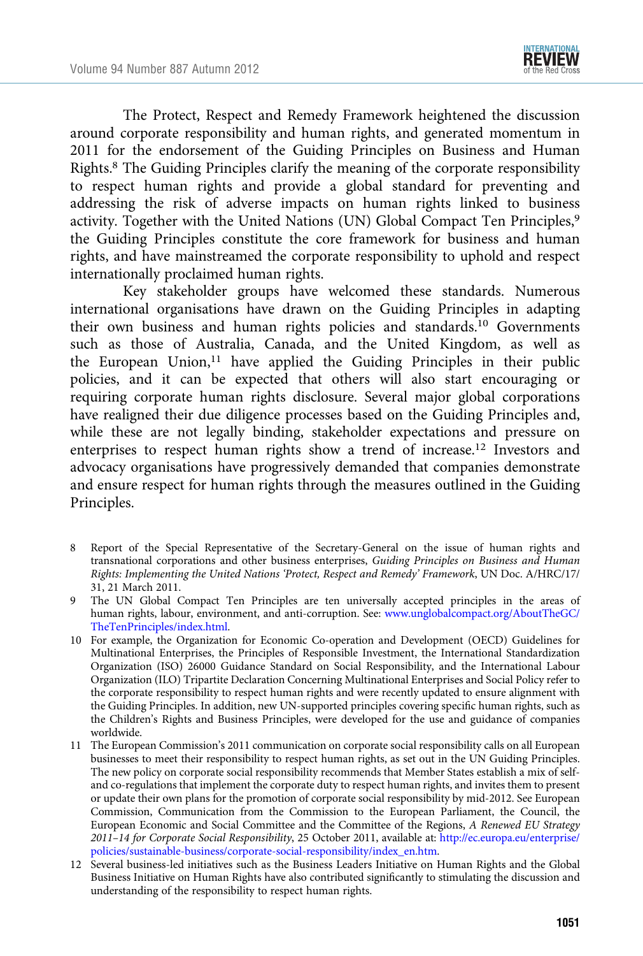The Protect, Respect and Remedy Framework heightened the discussion around corporate responsibility and human rights, and generated momentum in 2011 for the endorsement of the Guiding Principles on Business and Human Rights.8 The Guiding Principles clarify the meaning of the corporate responsibility to respect human rights and provide a global standard for preventing and addressing the risk of adverse impacts on human rights linked to business activity. Together with the United Nations (UN) Global Compact Ten Principles,<sup>9</sup> the Guiding Principles constitute the core framework for business and human rights, and have mainstreamed the corporate responsibility to uphold and respect internationally proclaimed human rights.

Key stakeholder groups have welcomed these standards. Numerous international organisations have drawn on the Guiding Principles in adapting their own business and human rights policies and standards.10 Governments such as those of Australia, Canada, and the United Kingdom, as well as the European Union,<sup>11</sup> have applied the Guiding Principles in their public policies, and it can be expected that others will also start encouraging or requiring corporate human rights disclosure. Several major global corporations have realigned their due diligence processes based on the Guiding Principles and, while these are not legally binding, stakeholder expectations and pressure on enterprises to respect human rights show a trend of increase.12 Investors and advocacy organisations have progressively demanded that companies demonstrate and ensure respect for human rights through the measures outlined in the Guiding Principles.

- 8 Report of the Special Representative of the Secretary-General on the issue of human rights and transnational corporations and other business enterprises, Guiding Principles on Business and Human Rights: Implementing the United Nations 'Protect, Respect and Remedy' Framework, UN Doc. A/HRC/17/ 31, 21 March 2011.
- 9 The UN Global Compact Ten Principles are ten universally accepted principles in the areas of human rights, labour, environment, and anti-corruption. See: [www.unglobalcompact.org/AboutTheGC/](http://www.unglobalcompact.org/AboutTheGC/TheTenPrinciples/index.html(lastvisited20May2012) [TheTenPrinciples/index.html](http://www.unglobalcompact.org/AboutTheGC/TheTenPrinciples/index.html(lastvisited20May2012).
- 10 For example, the Organization for Economic Co-operation and Development (OECD) Guidelines for Multinational Enterprises, the Principles of Responsible Investment, the International Standardization Organization (ISO) 26000 Guidance Standard on Social Responsibility, and the International Labour Organization (ILO) Tripartite Declaration Concerning Multinational Enterprises and Social Policy refer to the corporate responsibility to respect human rights and were recently updated to ensure alignment with the Guiding Principles. In addition, new UN-supported principles covering specific human rights, such as the Children's Rights and Business Principles, were developed for the use and guidance of companies worldwide.
- 11 The European Commission's 2011 communication on corporate social responsibility calls on all European businesses to meet their responsibility to respect human rights, as set out in the UN Guiding Principles. The new policy on corporate social responsibility recommends that Member States establish a mix of selfand co-regulations that implement the corporate duty to respect human rights, and invites them to present or update their own plans for the promotion of corporate social responsibility by mid-2012. See European Commission, Communication from the Commission to the European Parliament, the Council, the European Economic and Social Committee and the Committee of the Regions, A Renewed EU Strategy 2011–14 for Corporate Social Responsibility, 25 October 2011, available at: [http://ec.europa.eu/enterprise/](http://ec.europa.eu/enterprise/policies/sustainable-business/corporate-social-responsibility/index_en.htm) [policies/sustainable-business/corporate-social-responsibility/index\\_en.htm](http://ec.europa.eu/enterprise/policies/sustainable-business/corporate-social-responsibility/index_en.htm).
- 12 Several business-led initiatives such as the Business Leaders Initiative on Human Rights and the Global Business Initiative on Human Rights have also contributed significantly to stimulating the discussion and understanding of the responsibility to respect human rights.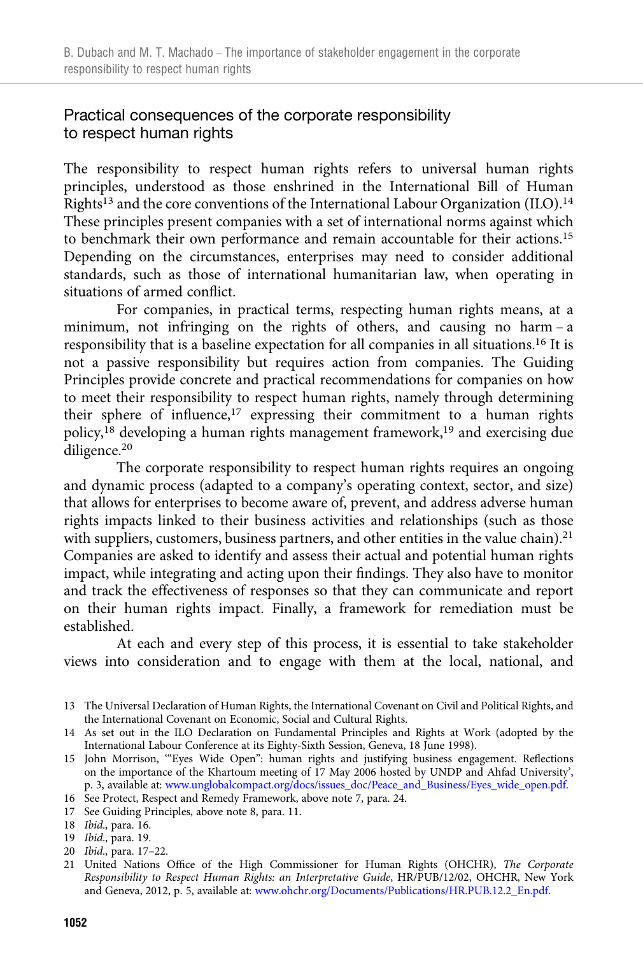# Practical consequences of the corporate responsibility to respect human rights

The responsibility to respect human rights refers to universal human rights principles, understood as those enshrined in the International Bill of Human  $Rights^{13}$  and the core conventions of the International Labour Organization (ILO).<sup>14</sup> These principles present companies with a set of international norms against which to benchmark their own performance and remain accountable for their actions.15 Depending on the circumstances, enterprises may need to consider additional standards, such as those of international humanitarian law, when operating in situations of armed conflict.

For companies, in practical terms, respecting human rights means, at a minimum, not infringing on the rights of others, and causing no harm – a responsibility that is a baseline expectation for all companies in all situations.16 It is not a passive responsibility but requires action from companies. The Guiding Principles provide concrete and practical recommendations for companies on how to meet their responsibility to respect human rights, namely through determining their sphere of influence,<sup>17</sup> expressing their commitment to a human rights policy,<sup>18</sup> developing a human rights management framework,<sup>19</sup> and exercising due diligence.<sup>20</sup>

The corporate responsibility to respect human rights requires an ongoing and dynamic process (adapted to a company's operating context, sector, and size) that allows for enterprises to become aware of, prevent, and address adverse human rights impacts linked to their business activities and relationships (such as those with suppliers, customers, business partners, and other entities in the value chain).<sup>21</sup> Companies are asked to identify and assess their actual and potential human rights impact, while integrating and acting upon their findings. They also have to monitor and track the effectiveness of responses so that they can communicate and report on their human rights impact. Finally, a framework for remediation must be established.

At each and every step of this process, it is essential to take stakeholder views into consideration and to engage with them at the local, national, and

<sup>13</sup> The Universal Declaration of Human Rights, the International Covenant on Civil and Political Rights, and the International Covenant on Economic, Social and Cultural Rights.

<sup>14</sup> As set out in the ILO Declaration on Fundamental Principles and Rights at Work (adopted by the International Labour Conference at its Eighty-Sixth Session, Geneva, 18 June 1998).

<sup>15</sup> John Morrison, '"Eyes Wide Open": human rights and justifying business engagement. Reflections on the importance of the Khartoum meeting of 17 May 2006 hosted by UNDP and Ahfad University', p. 3, available at: [www.unglobalcompact.org/docs/issues\\_doc/Peace\\_and\\_Business/Eyes\\_wide\\_open.pdf](http://www.unglobalcompact.org/docs/issues_doc/Peace_and_Business/Eyes_wide_open.pdf).

<sup>16</sup> See Protect, Respect and Remedy Framework, above note 7, para. 24.

<sup>17</sup> See Guiding Principles, above note 8, para. 11.

<sup>18</sup> Ibid., para. 16.

<sup>19</sup> Ibid., para. 19.

<sup>20</sup> Ibid., para. 17–22.

<sup>21</sup> United Nations Office of the High Commissioner for Human Rights (OHCHR), The Corporate Responsibility to Respect Human Rights: an Interpretative Guide, HR/PUB/12/02, OHCHR, New York and Geneva, 2012, p. 5, available at: [www.ohchr.org/Documents/Publications/HR.PUB.12.2\\_En.pdf](http://www.ohchr.org/Documents/Publications/HR.PUB.12.2_En.pdf).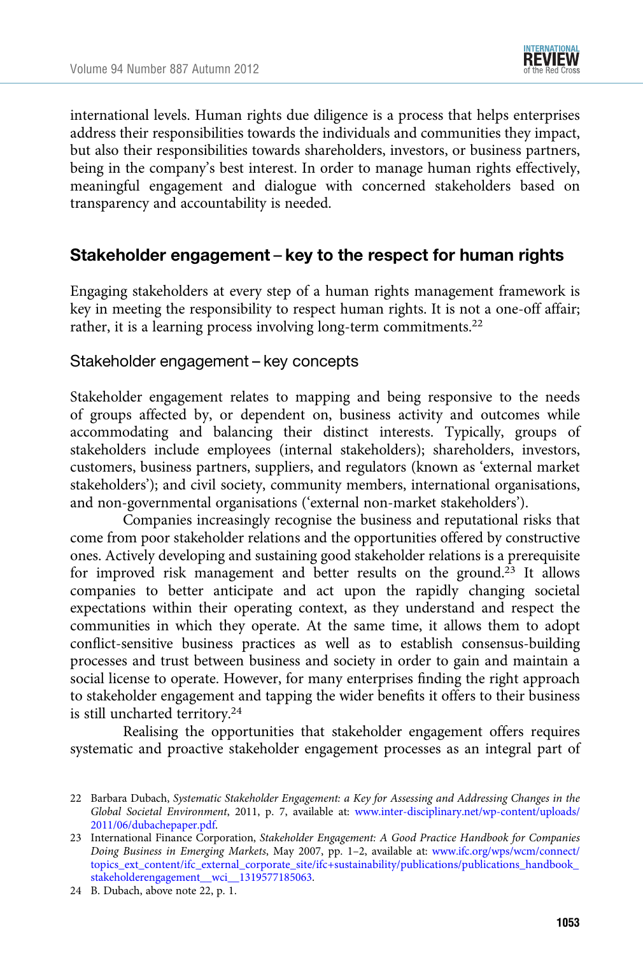international levels. Human rights due diligence is a process that helps enterprises address their responsibilities towards the individuals and communities they impact, but also their responsibilities towards shareholders, investors, or business partners, being in the company's best interest. In order to manage human rights effectively, meaningful engagement and dialogue with concerned stakeholders based on transparency and accountability is needed.

## Stakeholder engagement – key to the respect for human rights

Engaging stakeholders at every step of a human rights management framework is key in meeting the responsibility to respect human rights. It is not a one-off affair; rather, it is a learning process involving long-term commitments.<sup>22</sup>

#### Stakeholder engagement – key concepts

Stakeholder engagement relates to mapping and being responsive to the needs of groups affected by, or dependent on, business activity and outcomes while accommodating and balancing their distinct interests. Typically, groups of stakeholders include employees (internal stakeholders); shareholders, investors, customers, business partners, suppliers, and regulators (known as 'external market stakeholders'); and civil society, community members, international organisations, and non-governmental organisations ('external non-market stakeholders').

Companies increasingly recognise the business and reputational risks that come from poor stakeholder relations and the opportunities offered by constructive ones. Actively developing and sustaining good stakeholder relations is a prerequisite for improved risk management and better results on the ground.23 It allows companies to better anticipate and act upon the rapidly changing societal expectations within their operating context, as they understand and respect the communities in which they operate. At the same time, it allows them to adopt conflict-sensitive business practices as well as to establish consensus-building processes and trust between business and society in order to gain and maintain a social license to operate. However, for many enterprises finding the right approach to stakeholder engagement and tapping the wider benefits it offers to their business is still uncharted territory.24

Realising the opportunities that stakeholder engagement offers requires systematic and proactive stakeholder engagement processes as an integral part of

<sup>22</sup> Barbara Dubach, Systematic Stakeholder Engagement: a Key for Assessing and Addressing Changes in the Global Societal Environment, 2011, p. 7, available at: [www.inter-disciplinary.net/wp-content/uploads/](http://www.inter-disciplinary.net/wp-content/uploads/2011/06/dubachepaper.pdf) [2011/06/dubachepaper.pdf.](http://www.inter-disciplinary.net/wp-content/uploads/2011/06/dubachepaper.pdf)

<sup>23</sup> International Finance Corporation, Stakeholder Engagement: A Good Practice Handbook for Companies Doing Business in Emerging Markets, May 2007, pp. 1–2, available at: [www.ifc.org/wps/wcm/connect/](http://www.ifc.org/wps/wcm/connect/topics_ext_content/ifc_external_corporate_site/ifc+sustainability/publications/publications_handbook_stakeholderengagement__wci__1319577185063) [topics\\_ext\\_content/ifc\\_external\\_corporate\\_site/ifc+sustainability/publications/publications\\_handbook\\_](http://www.ifc.org/wps/wcm/connect/topics_ext_content/ifc_external_corporate_site/ifc+sustainability/publications/publications_handbook_stakeholderengagement__wci__1319577185063) [stakeholderengagement\\_\\_wci\\_\\_1319577185063.](http://www.ifc.org/wps/wcm/connect/topics_ext_content/ifc_external_corporate_site/ifc+sustainability/publications/publications_handbook_stakeholderengagement__wci__1319577185063)

<sup>24</sup> B. Dubach, above note 22, p. 1.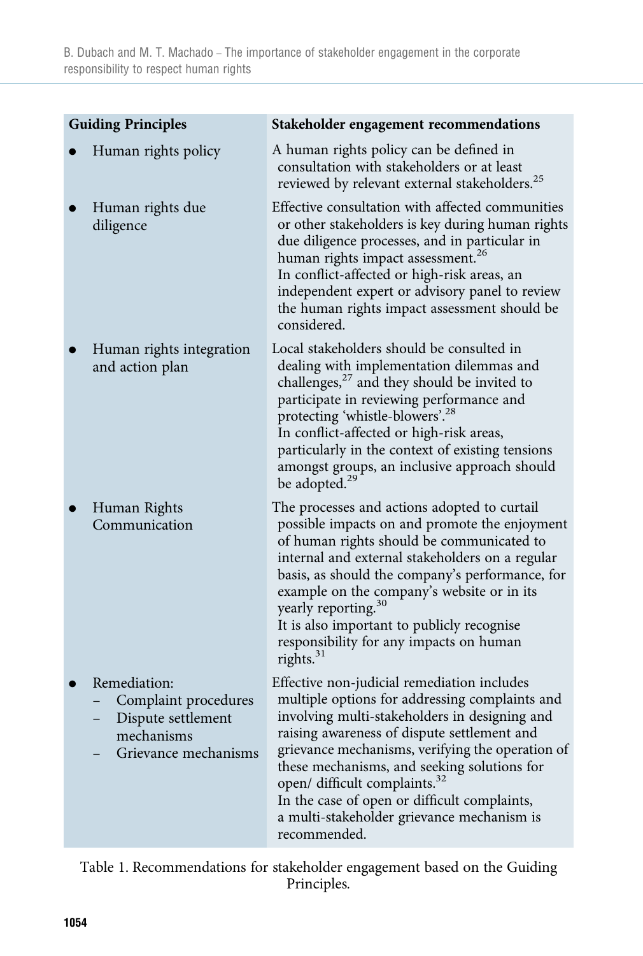| <b>Guiding Principles</b> |                                                                                                  | Stakeholder engagement recommendations                                                                                                                                                                                                                                                                                                                                                                                                                      |
|---------------------------|--------------------------------------------------------------------------------------------------|-------------------------------------------------------------------------------------------------------------------------------------------------------------------------------------------------------------------------------------------------------------------------------------------------------------------------------------------------------------------------------------------------------------------------------------------------------------|
|                           | Human rights policy                                                                              | A human rights policy can be defined in<br>consultation with stakeholders or at least<br>reviewed by relevant external stakeholders. <sup>25</sup>                                                                                                                                                                                                                                                                                                          |
|                           | Human rights due<br>diligence                                                                    | Effective consultation with affected communities<br>or other stakeholders is key during human rights<br>due diligence processes, and in particular in<br>human rights impact assessment. <sup>26</sup><br>In conflict-affected or high-risk areas, an<br>independent expert or advisory panel to review<br>the human rights impact assessment should be<br>considered.                                                                                      |
|                           | Human rights integration<br>and action plan                                                      | Local stakeholders should be consulted in<br>dealing with implementation dilemmas and<br>challenges, <sup>27</sup> and they should be invited to<br>participate in reviewing performance and<br>protecting 'whistle-blowers'. <sup>28</sup><br>In conflict-affected or high-risk areas,<br>particularly in the context of existing tensions<br>amongst groups, an inclusive approach should<br>be adopted. <sup>29</sup>                                    |
|                           | Human Rights<br>Communication                                                                    | The processes and actions adopted to curtail<br>possible impacts on and promote the enjoyment<br>of human rights should be communicated to<br>internal and external stakeholders on a regular<br>basis, as should the company's performance, for<br>example on the company's website or in its<br>yearly reporting. <sup>30</sup><br>It is also important to publicly recognise<br>responsibility for any impacts on human<br>rights. <sup>31</sup>         |
|                           | Remediation:<br>Complaint procedures<br>Dispute settlement<br>mechanisms<br>Grievance mechanisms | Effective non-judicial remediation includes<br>multiple options for addressing complaints and<br>involving multi-stakeholders in designing and<br>raising awareness of dispute settlement and<br>grievance mechanisms, verifying the operation of<br>these mechanisms, and seeking solutions for<br>open/ difficult complaints. <sup>32</sup><br>In the case of open or difficult complaints,<br>a multi-stakeholder grievance mechanism is<br>recommended. |

Table 1. Recommendations for stakeholder engagement based on the Guiding Principles.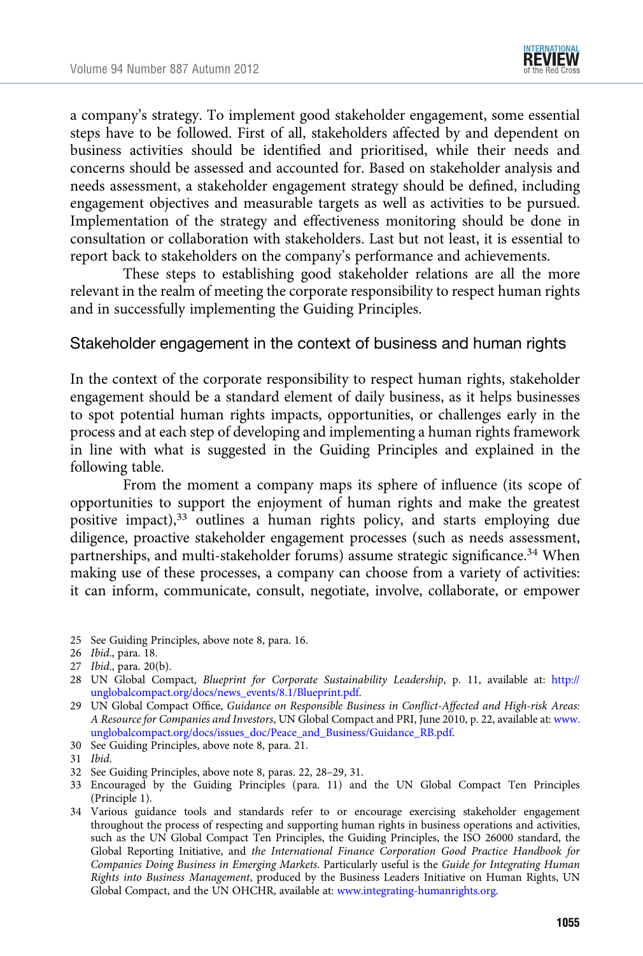a company's strategy. To implement good stakeholder engagement, some essential steps have to be followed. First of all, stakeholders affected by and dependent on business activities should be identified and prioritised, while their needs and concerns should be assessed and accounted for. Based on stakeholder analysis and needs assessment, a stakeholder engagement strategy should be defined, including engagement objectives and measurable targets as well as activities to be pursued. Implementation of the strategy and effectiveness monitoring should be done in consultation or collaboration with stakeholders. Last but not least, it is essential to report back to stakeholders on the company's performance and achievements.

These steps to establishing good stakeholder relations are all the more relevant in the realm of meeting the corporate responsibility to respect human rights and in successfully implementing the Guiding Principles.

#### Stakeholder engagement in the context of business and human rights

In the context of the corporate responsibility to respect human rights, stakeholder engagement should be a standard element of daily business, as it helps businesses to spot potential human rights impacts, opportunities, or challenges early in the process and at each step of developing and implementing a human rights framework in line with what is suggested in the Guiding Principles and explained in the following table.

From the moment a company maps its sphere of influence (its scope of opportunities to support the enjoyment of human rights and make the greatest positive impact),<sup>33</sup> outlines a human rights policy, and starts employing due diligence, proactive stakeholder engagement processes (such as needs assessment, partnerships, and multi-stakeholder forums) assume strategic significance.<sup>34</sup> When making use of these processes, a company can choose from a variety of activities: it can inform, communicate, consult, negotiate, involve, collaborate, or empower

- 25 See Guiding Principles, above note 8, para. 16.
- 26 Ibid., para. 18.

30 See Guiding Principles, above note 8, para. 21.

<sup>27</sup> Ibid., para. 20(b).

<sup>28</sup> UN Global Compact, Blueprint for Corporate Sustainability Leadership, p. 11, available at: [http://](http://unglobalcompact.org/docs/news_events/8.1/Blueprint.pdf) [unglobalcompact.org/docs/news\\_events/8.1/Blueprint.pdf.](http://unglobalcompact.org/docs/news_events/8.1/Blueprint.pdf)

<sup>29</sup> UN Global Compact Office, Guidance on Responsible Business in Conflict-Affected and High-risk Areas: A Resource for Companies and Investors, UN Global Compact and PRI, June 2010, p. 22, available at: [www.](http://www.unglobalcompact.org/docs/issues_doc/Peace_and_Business/Guidance_RB.pdf) [unglobalcompact.org/docs/issues\\_doc/Peace\\_and\\_Business/Guidance\\_RB.pdf.](http://www.unglobalcompact.org/docs/issues_doc/Peace_and_Business/Guidance_RB.pdf)

<sup>31</sup> Ibid.

<sup>32</sup> See Guiding Principles, above note 8, paras. 22, 28–29, 31.

<sup>33</sup> Encouraged by the Guiding Principles (para. 11) and the UN Global Compact Ten Principles (Principle 1).

<sup>34</sup> Various guidance tools and standards refer to or encourage exercising stakeholder engagement throughout the process of respecting and supporting human rights in business operations and activities, such as the UN Global Compact Ten Principles, the Guiding Principles, the ISO 26000 standard, the Global Reporting Initiative, and the International Finance Corporation Good Practice Handbook for Companies Doing Business in Emerging Markets. Particularly useful is the Guide for Integrating Human Rights into Business Management, produced by the Business Leaders Initiative on Human Rights, UN Global Compact, and the UN OHCHR, available at: [www.integrating-humanrights.org](http://www.integrating-humanrights.org).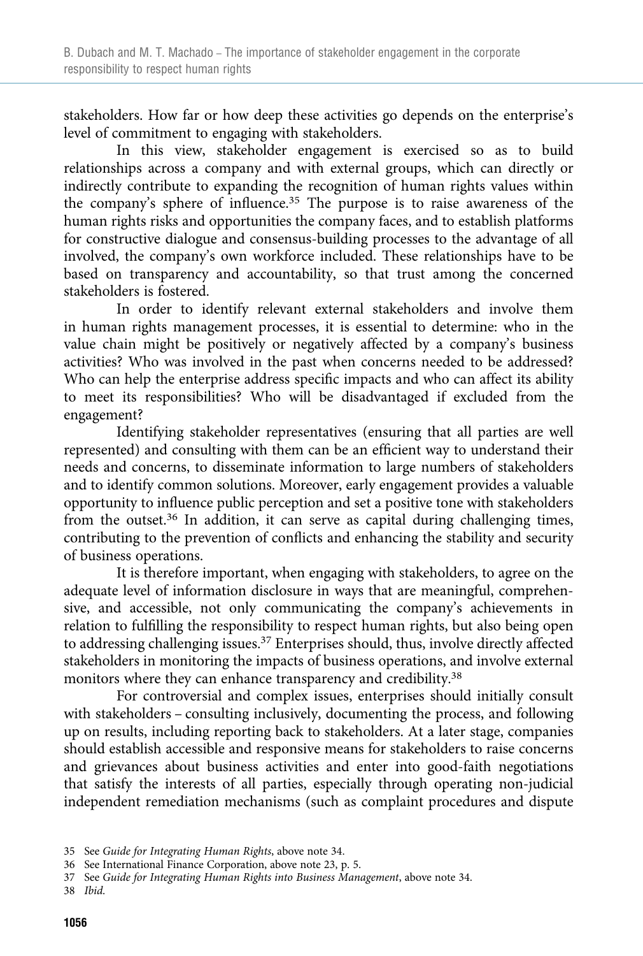stakeholders. How far or how deep these activities go depends on the enterprise's level of commitment to engaging with stakeholders.

In this view, stakeholder engagement is exercised so as to build relationships across a company and with external groups, which can directly or indirectly contribute to expanding the recognition of human rights values within the company's sphere of influence.35 The purpose is to raise awareness of the human rights risks and opportunities the company faces, and to establish platforms for constructive dialogue and consensus-building processes to the advantage of all involved, the company's own workforce included. These relationships have to be based on transparency and accountability, so that trust among the concerned stakeholders is fostered.

In order to identify relevant external stakeholders and involve them in human rights management processes, it is essential to determine: who in the value chain might be positively or negatively affected by a company's business activities? Who was involved in the past when concerns needed to be addressed? Who can help the enterprise address specific impacts and who can affect its ability to meet its responsibilities? Who will be disadvantaged if excluded from the engagement?

Identifying stakeholder representatives (ensuring that all parties are well represented) and consulting with them can be an efficient way to understand their needs and concerns, to disseminate information to large numbers of stakeholders and to identify common solutions. Moreover, early engagement provides a valuable opportunity to influence public perception and set a positive tone with stakeholders from the outset.<sup>36</sup> In addition, it can serve as capital during challenging times, contributing to the prevention of conflicts and enhancing the stability and security of business operations.

It is therefore important, when engaging with stakeholders, to agree on the adequate level of information disclosure in ways that are meaningful, comprehensive, and accessible, not only communicating the company's achievements in relation to fulfilling the responsibility to respect human rights, but also being open to addressing challenging issues.<sup>37</sup> Enterprises should, thus, involve directly affected stakeholders in monitoring the impacts of business operations, and involve external monitors where they can enhance transparency and credibility.38

For controversial and complex issues, enterprises should initially consult with stakeholders – consulting inclusively, documenting the process, and following up on results, including reporting back to stakeholders. At a later stage, companies should establish accessible and responsive means for stakeholders to raise concerns and grievances about business activities and enter into good-faith negotiations that satisfy the interests of all parties, especially through operating non-judicial independent remediation mechanisms (such as complaint procedures and dispute

36 See International Finance Corporation, above note 23, p. 5.

38 Ibid.

<sup>35</sup> See Guide for Integrating Human Rights, above note 34.

<sup>37</sup> See Guide for Integrating Human Rights into Business Management, above note 34.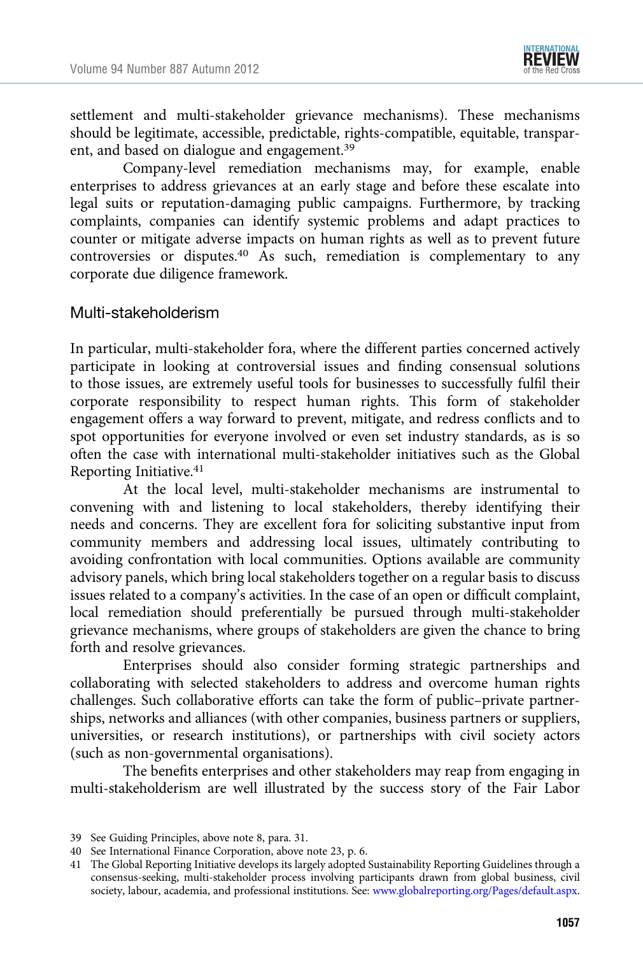settlement and multi-stakeholder grievance mechanisms). These mechanisms should be legitimate, accessible, predictable, rights-compatible, equitable, transparent, and based on dialogue and engagement.39

Company-level remediation mechanisms may, for example, enable enterprises to address grievances at an early stage and before these escalate into legal suits or reputation-damaging public campaigns. Furthermore, by tracking complaints, companies can identify systemic problems and adapt practices to counter or mitigate adverse impacts on human rights as well as to prevent future controversies or disputes.40 As such, remediation is complementary to any corporate due diligence framework.

#### Multi-stakeholderism

In particular, multi-stakeholder fora, where the different parties concerned actively participate in looking at controversial issues and finding consensual solutions to those issues, are extremely useful tools for businesses to successfully fulfil their corporate responsibility to respect human rights. This form of stakeholder engagement offers a way forward to prevent, mitigate, and redress conflicts and to spot opportunities for everyone involved or even set industry standards, as is so often the case with international multi-stakeholder initiatives such as the Global Reporting Initiative.41

At the local level, multi-stakeholder mechanisms are instrumental to convening with and listening to local stakeholders, thereby identifying their needs and concerns. They are excellent fora for soliciting substantive input from community members and addressing local issues, ultimately contributing to avoiding confrontation with local communities. Options available are community advisory panels, which bring local stakeholders together on a regular basis to discuss issues related to a company's activities. In the case of an open or difficult complaint, local remediation should preferentially be pursued through multi-stakeholder grievance mechanisms, where groups of stakeholders are given the chance to bring forth and resolve grievances.

Enterprises should also consider forming strategic partnerships and collaborating with selected stakeholders to address and overcome human rights challenges. Such collaborative efforts can take the form of public–private partnerships, networks and alliances (with other companies, business partners or suppliers, universities, or research institutions), or partnerships with civil society actors (such as non-governmental organisations).

The benefits enterprises and other stakeholders may reap from engaging in multi-stakeholderism are well illustrated by the success story of the Fair Labor

<sup>39</sup> See Guiding Principles, above note 8, para. 31.

<sup>40</sup> See International Finance Corporation, above note 23, p. 6.

<sup>41</sup> The Global Reporting Initiative develops its largely adopted Sustainability Reporting Guidelines through a consensus-seeking, multi-stakeholder process involving participants drawn from global business, civil society, labour, academia, and professional institutions. See: [www.globalreporting.org/Pages/default.aspx](http://www.globalreporting.org/Pages/default.aspx).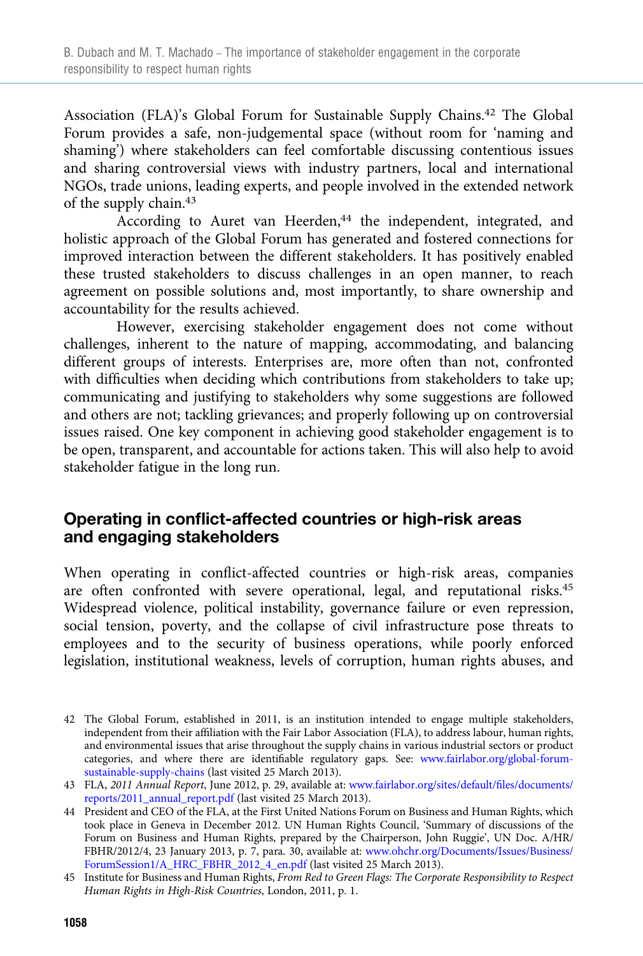Association (FLA)'s Global Forum for Sustainable Supply Chains.42 The Global Forum provides a safe, non-judgemental space (without room for 'naming and shaming') where stakeholders can feel comfortable discussing contentious issues and sharing controversial views with industry partners, local and international NGOs, trade unions, leading experts, and people involved in the extended network of the supply chain.43

According to Auret van Heerden,<sup>44</sup> the independent, integrated, and holistic approach of the Global Forum has generated and fostered connections for improved interaction between the different stakeholders. It has positively enabled these trusted stakeholders to discuss challenges in an open manner, to reach agreement on possible solutions and, most importantly, to share ownership and accountability for the results achieved.

However, exercising stakeholder engagement does not come without challenges, inherent to the nature of mapping, accommodating, and balancing different groups of interests. Enterprises are, more often than not, confronted with difficulties when deciding which contributions from stakeholders to take up; communicating and justifying to stakeholders why some suggestions are followed and others are not; tackling grievances; and properly following up on controversial issues raised. One key component in achieving good stakeholder engagement is to be open, transparent, and accountable for actions taken. This will also help to avoid stakeholder fatigue in the long run.

## Operating in conflict-affected countries or high-risk areas and engaging stakeholders

When operating in conflict-affected countries or high-risk areas, companies are often confronted with severe operational, legal, and reputational risks.45 Widespread violence, political instability, governance failure or even repression, social tension, poverty, and the collapse of civil infrastructure pose threats to employees and to the security of business operations, while poorly enforced legislation, institutional weakness, levels of corruption, human rights abuses, and

<sup>42</sup> The Global Forum, established in 2011, is an institution intended to engage multiple stakeholders, independent from their affiliation with the Fair Labor Association (FLA), to address labour, human rights, and environmental issues that arise throughout the supply chains in various industrial sectors or product categories, and where there are identifiable regulatory gaps. See: [www.fairlabor.org/global-forum](http://www.fairlabor.org/global-forum-sustainable-supply-chains)[sustainable-supply-chains](http://www.fairlabor.org/global-forum-sustainable-supply-chains) (last visited 25 March 2013).

<sup>43</sup> FLA, 2011 Annual Report, June 2012, p. 29, available at: [www.fairlabor.org/sites/default/](http://www.fairlabor.org/sites/default/files/documents/reports/2011_annual_report.pdf)files/documents/ [reports/2011\\_annual\\_report.pdf](http://www.fairlabor.org/sites/default/files/documents/reports/2011_annual_report.pdf) (last visited 25 March 2013).

<sup>44</sup> President and CEO of the FLA, at the First United Nations Forum on Business and Human Rights, which took place in Geneva in December 2012. UN Human Rights Council, 'Summary of discussions of the Forum on Business and Human Rights, prepared by the Chairperson, John Ruggie', UN Doc. A/HR/ FBHR/2012/4, 23 January 2013, p. 7, para. 30, available at: [www.ohchr.org/Documents/Issues/Business/](http://www.ohchr.org/Documents/Issues/Business/ForumSession1/A_HRC_FBHR_2012_4_en.pdf) [ForumSession1/A\\_HRC\\_FBHR\\_2012\\_4\\_en.pdf](http://www.ohchr.org/Documents/Issues/Business/ForumSession1/A_HRC_FBHR_2012_4_en.pdf) (last visited 25 March 2013).

<sup>45</sup> Institute for Business and Human Rights, From Red to Green Flags: The Corporate Responsibility to Respect Human Rights in High-Risk Countries, London, 2011, p. 1.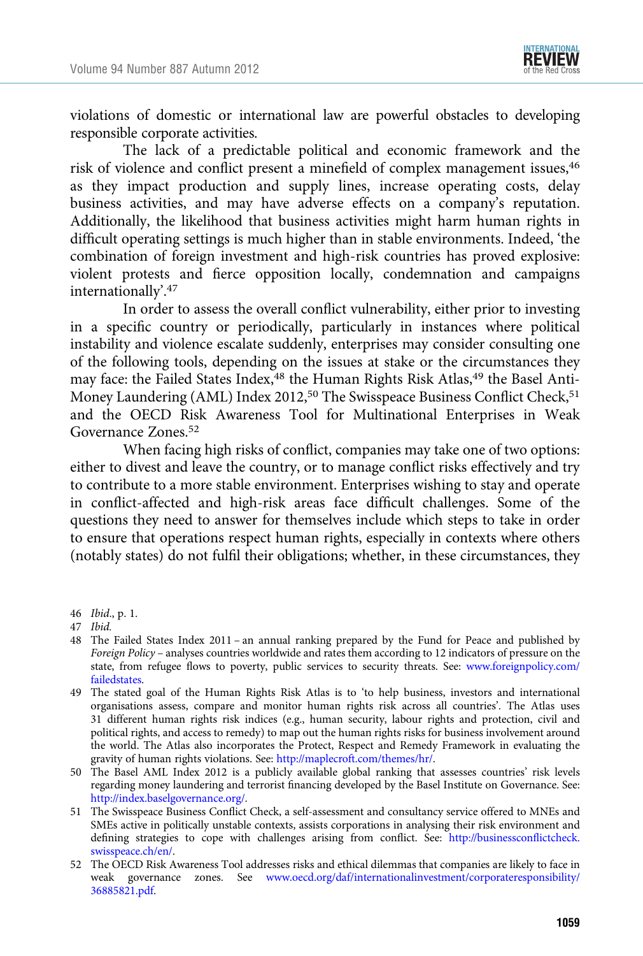violations of domestic or international law are powerful obstacles to developing responsible corporate activities.

The lack of a predictable political and economic framework and the risk of violence and conflict present a minefield of complex management issues,<sup>46</sup> as they impact production and supply lines, increase operating costs, delay business activities, and may have adverse effects on a company's reputation. Additionally, the likelihood that business activities might harm human rights in difficult operating settings is much higher than in stable environments. Indeed, 'the combination of foreign investment and high-risk countries has proved explosive: violent protests and fierce opposition locally, condemnation and campaigns internationally'. 47

In order to assess the overall conflict vulnerability, either prior to investing in a specific country or periodically, particularly in instances where political instability and violence escalate suddenly, enterprises may consider consulting one of the following tools, depending on the issues at stake or the circumstances they may face: the Failed States Index,<sup>48</sup> the Human Rights Risk Atlas,<sup>49</sup> the Basel Anti-Money Laundering (AML) Index 2012,<sup>50</sup> The Swisspeace Business Conflict Check,<sup>51</sup> and the OECD Risk Awareness Tool for Multinational Enterprises in Weak Governance Zones.52

When facing high risks of conflict, companies may take one of two options: either to divest and leave the country, or to manage conflict risks effectively and try to contribute to a more stable environment. Enterprises wishing to stay and operate in conflict-affected and high-risk areas face difficult challenges. Some of the questions they need to answer for themselves include which steps to take in order to ensure that operations respect human rights, especially in contexts where others (notably states) do not fulfil their obligations; whether, in these circumstances, they

- 48 The Failed States Index 2011 an annual ranking prepared by the Fund for Peace and published by Foreign Policy – analyses countries worldwide and rates them according to 12 indicators of pressure on the state, from refugee flows to poverty, public services to security threats. See: [www.foreignpolicy.com/](http://www.foreignpolicy.com/failedstates) [failedstates.](http://www.foreignpolicy.com/failedstates)
- 49 The stated goal of the Human Rights Risk Atlas is to 'to help business, investors and international organisations assess, compare and monitor human rights risk across all countries'. The Atlas uses 31 different human rights risk indices (e.g., human security, labour rights and protection, civil and political rights, and access to remedy) to map out the human rights risks for business involvement around the world. The Atlas also incorporates the Protect, Respect and Remedy Framework in evaluating the gravity of human rights violations. See: [http://maplecroft.com/themes/hr/.](http://maplecroft.com/themes/hr/)
- 50 The Basel AML Index 2012 is a publicly available global ranking that assesses countries' risk levels regarding money laundering and terrorist financing developed by the Basel Institute on Governance. See: <http://index.baselgovernance.org/>.
- 51 The Swisspeace Business Conflict Check, a self-assessment and consultancy service offered to MNEs and SMEs active in politically unstable contexts, assists corporations in analysing their risk environment and defining strategies to cope with challenges arising from conflict. See: [http://businesscon](http://businessconflictcheck.swisspeace.ch/en/)flictcheck. [swisspeace.ch/en/.](http://businessconflictcheck.swisspeace.ch/en/)
- 52 The OECD Risk Awareness Tool addresses risks and ethical dilemmas that companies are likely to face in weak governance zones. See [www.oecd.org/daf/internationalinvestment/corporateresponsibility/](http://www.oecd.org/daf/internationalinvestment/corporateresponsibility/36885821.pdf) [36885821.pdf.](http://www.oecd.org/daf/internationalinvestment/corporateresponsibility/36885821.pdf)

<sup>46</sup> Ibid., p. 1.

<sup>47</sup> Ibid.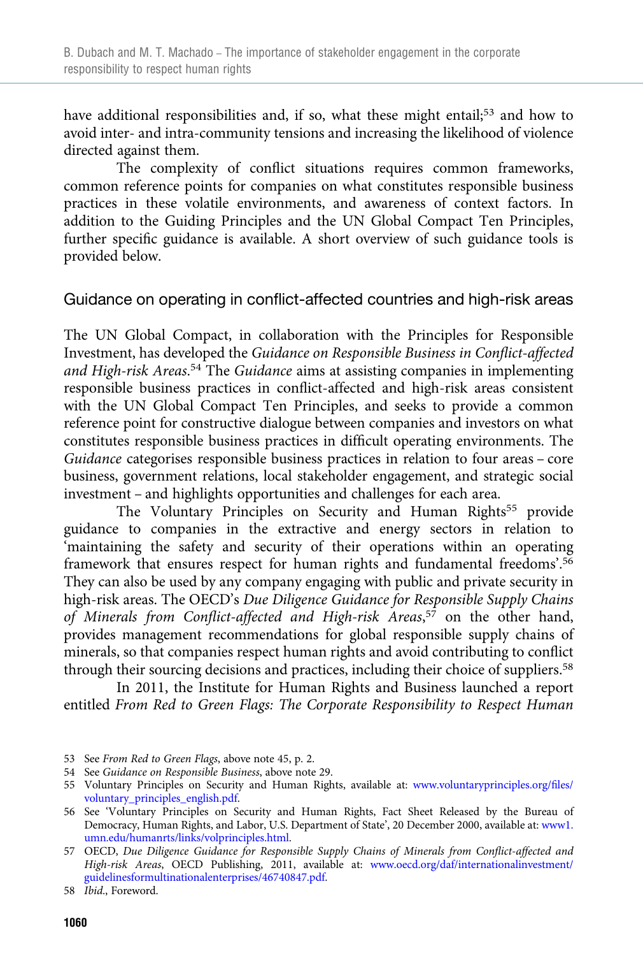have additional responsibilities and, if so, what these might entail;<sup>53</sup> and how to avoid inter- and intra-community tensions and increasing the likelihood of violence directed against them.

The complexity of conflict situations requires common frameworks, common reference points for companies on what constitutes responsible business practices in these volatile environments, and awareness of context factors. In addition to the Guiding Principles and the UN Global Compact Ten Principles, further specific guidance is available. A short overview of such guidance tools is provided below.

## Guidance on operating in conflict-affected countries and high-risk areas

The UN Global Compact, in collaboration with the Principles for Responsible Investment, has developed the Guidance on Responsible Business in Conflict-affected and High-risk Areas.<sup>54</sup> The Guidance aims at assisting companies in implementing responsible business practices in conflict-affected and high-risk areas consistent with the UN Global Compact Ten Principles, and seeks to provide a common reference point for constructive dialogue between companies and investors on what constitutes responsible business practices in difficult operating environments. The Guidance categorises responsible business practices in relation to four areas – core business, government relations, local stakeholder engagement, and strategic social investment – and highlights opportunities and challenges for each area.

The Voluntary Principles on Security and Human Rights<sup>55</sup> provide guidance to companies in the extractive and energy sectors in relation to 'maintaining the safety and security of their operations within an operating framework that ensures respect for human rights and fundamental freedoms'. 56 They can also be used by any company engaging with public and private security in high-risk areas. The OECD's Due Diligence Guidance for Responsible Supply Chains of Minerals from Conflict-affected and High-risk Areas,<sup>57</sup> on the other hand, provides management recommendations for global responsible supply chains of minerals, so that companies respect human rights and avoid contributing to conflict through their sourcing decisions and practices, including their choice of suppliers.<sup>58</sup>

In 2011, the Institute for Human Rights and Business launched a report entitled From Red to Green Flags: The Corporate Responsibility to Respect Human

54 See Guidance on Responsible Business, above note 29.

<sup>53</sup> See From Red to Green Flags, above note 45, p. 2.

<sup>55</sup> Voluntary Principles on Security and Human Rights, available at: [www.voluntaryprinciples.org/](http://www.voluntaryprinciples.org/files/voluntary_principles_english.pdf)files/ [voluntary\\_principles\\_english.pdf](http://www.voluntaryprinciples.org/files/voluntary_principles_english.pdf).

<sup>56</sup> See 'Voluntary Principles on Security and Human Rights, Fact Sheet Released by the Bureau of Democracy, Human Rights, and Labor, U.S. Department of State', 20 December 2000, available at: [www1.](http://www1.umn.edu/humanrts/links/volprinciples.html) [umn.edu/humanrts/links/volprinciples.html](http://www1.umn.edu/humanrts/links/volprinciples.html).

<sup>57</sup> OECD, Due Diligence Guidance for Responsible Supply Chains of Minerals from Conflict-affected and High-risk Areas, OECD Publishing, 2011, available at: [www.oecd.org/daf/internationalinvestment/](http://www.oecd.org/daf/internationalinvestment/guidelinesformultinationalenterprises/46740847.pdf) [guidelinesformultinationalenterprises/46740847.pdf.](http://www.oecd.org/daf/internationalinvestment/guidelinesformultinationalenterprises/46740847.pdf)

<sup>58</sup> Ibid., Foreword.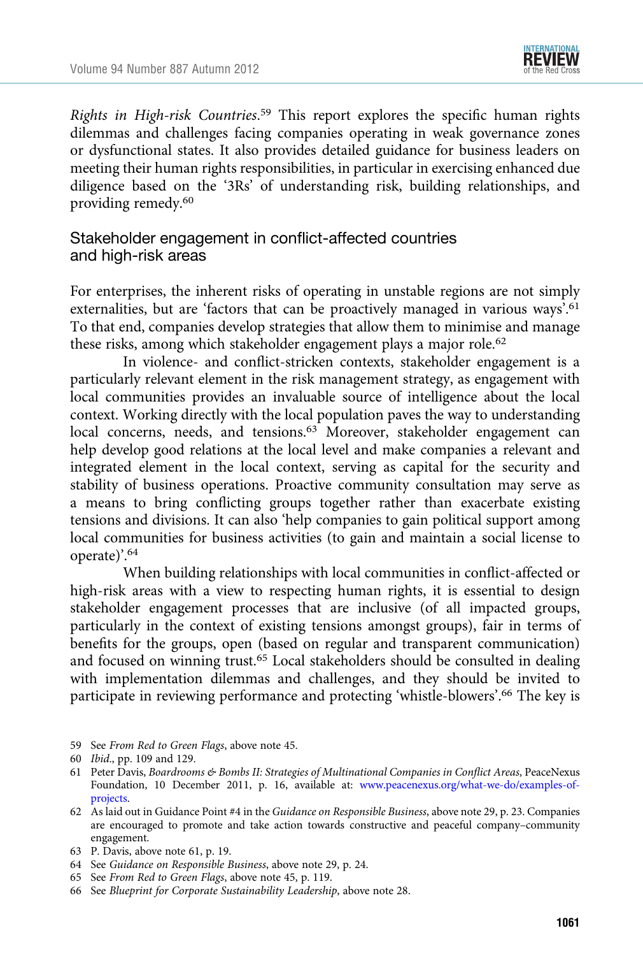Rights in High-risk Countries.<sup>59</sup> This report explores the specific human rights dilemmas and challenges facing companies operating in weak governance zones or dysfunctional states. It also provides detailed guidance for business leaders on meeting their human rights responsibilities, in particular in exercising enhanced due diligence based on the '3Rs' of understanding risk, building relationships, and providing remedy.60

#### Stakeholder engagement in conflict-affected countries and high-risk areas

For enterprises, the inherent risks of operating in unstable regions are not simply externalities, but are 'factors that can be proactively managed in various ways'.<sup>61</sup> To that end, companies develop strategies that allow them to minimise and manage these risks, among which stakeholder engagement plays a major role.<sup>62</sup>

In violence- and conflict-stricken contexts, stakeholder engagement is a particularly relevant element in the risk management strategy, as engagement with local communities provides an invaluable source of intelligence about the local context. Working directly with the local population paves the way to understanding local concerns, needs, and tensions.<sup>63</sup> Moreover, stakeholder engagement can help develop good relations at the local level and make companies a relevant and integrated element in the local context, serving as capital for the security and stability of business operations. Proactive community consultation may serve as a means to bring conflicting groups together rather than exacerbate existing tensions and divisions. It can also 'help companies to gain political support among local communities for business activities (to gain and maintain a social license to operate)'. 64

When building relationships with local communities in conflict-affected or high-risk areas with a view to respecting human rights, it is essential to design stakeholder engagement processes that are inclusive (of all impacted groups, particularly in the context of existing tensions amongst groups), fair in terms of benefits for the groups, open (based on regular and transparent communication) and focused on winning trust.<sup>65</sup> Local stakeholders should be consulted in dealing with implementation dilemmas and challenges, and they should be invited to participate in reviewing performance and protecting 'whistle-blowers'. <sup>66</sup> The key is

59 See From Red to Green Flags, above note 45.

- 62 As laid out in Guidance Point #4 in the Guidance on Responsible Business, above note 29, p. 23. Companies are encouraged to promote and take action towards constructive and peaceful company–community engagement.
- 63 P. Davis, above note 61, p. 19.
- 64 See Guidance on Responsible Business, above note 29, p. 24.
- 65 See From Red to Green Flags, above note 45, p. 119.
- 66 See Blueprint for Corporate Sustainability Leadership, above note 28.

<sup>60</sup> Ibid., pp. 109 and 129.

<sup>61</sup> Peter Davis, Boardrooms & Bombs II: Strategies of Multinational Companies in Conflict Areas, PeaceNexus Foundation, 10 December 2011, p. 16, available at: [www.peacenexus.org/what-we-do/examples-of](http://www.peacenexus.org/what-we-do/examples-of-projects)[projects.](http://www.peacenexus.org/what-we-do/examples-of-projects)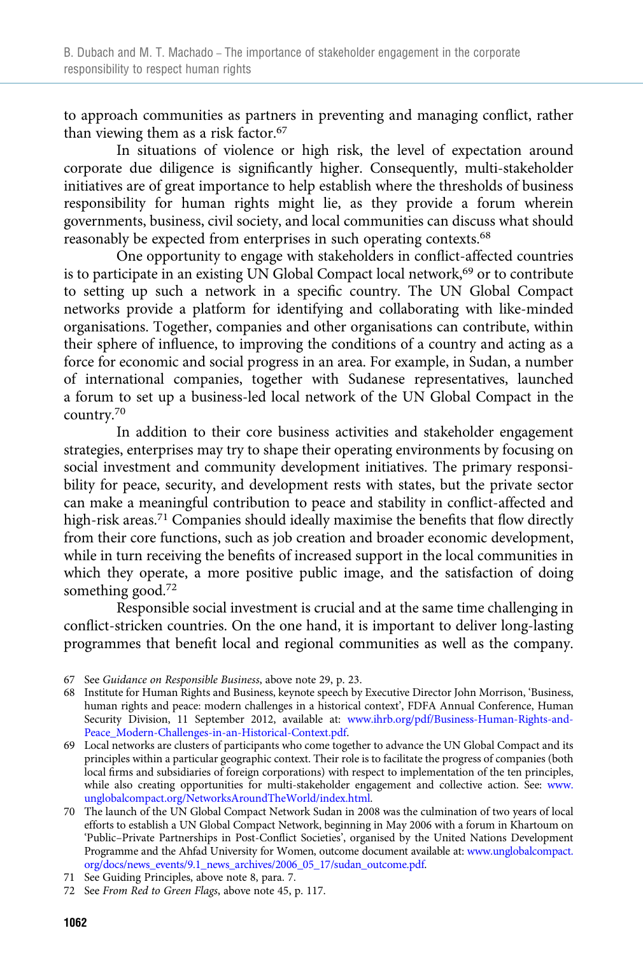to approach communities as partners in preventing and managing conflict, rather than viewing them as a risk factor.<sup>67</sup>

In situations of violence or high risk, the level of expectation around corporate due diligence is significantly higher. Consequently, multi-stakeholder initiatives are of great importance to help establish where the thresholds of business responsibility for human rights might lie, as they provide a forum wherein governments, business, civil society, and local communities can discuss what should reasonably be expected from enterprises in such operating contexts.68

One opportunity to engage with stakeholders in conflict-affected countries is to participate in an existing UN Global Compact local network,<sup>69</sup> or to contribute to setting up such a network in a specific country. The UN Global Compact networks provide a platform for identifying and collaborating with like-minded organisations. Together, companies and other organisations can contribute, within their sphere of influence, to improving the conditions of a country and acting as a force for economic and social progress in an area. For example, in Sudan, a number of international companies, together with Sudanese representatives, launched a forum to set up a business-led local network of the UN Global Compact in the country.<sup>70</sup>

In addition to their core business activities and stakeholder engagement strategies, enterprises may try to shape their operating environments by focusing on social investment and community development initiatives. The primary responsibility for peace, security, and development rests with states, but the private sector can make a meaningful contribution to peace and stability in conflict-affected and high-risk areas.<sup>71</sup> Companies should ideally maximise the benefits that flow directly from their core functions, such as job creation and broader economic development, while in turn receiving the benefits of increased support in the local communities in which they operate, a more positive public image, and the satisfaction of doing something good.<sup>72</sup>

Responsible social investment is crucial and at the same time challenging in conflict-stricken countries. On the one hand, it is important to deliver long-lasting programmes that benefit local and regional communities as well as the company.

<sup>67</sup> See Guidance on Responsible Business, above note 29, p. 23.

<sup>68</sup> Institute for Human Rights and Business, keynote speech by Executive Director John Morrison, 'Business, human rights and peace: modern challenges in a historical context', FDFA Annual Conference, Human Security Division, 11 September 2012, available at: [www.ihrb.org/pdf/Business-Human-Rights-and-](http://www.ihrb.org/pdf/Business-Human-Rights-and-Peace_Modern-Challenges-in-an-Historical-Context.pdf)[Peace\\_Modern-Challenges-in-an-Historical-Context.pdf.](http://www.ihrb.org/pdf/Business-Human-Rights-and-Peace_Modern-Challenges-in-an-Historical-Context.pdf)

<sup>69</sup> Local networks are clusters of participants who come together to advance the UN Global Compact and its principles within a particular geographic context. Their role is to facilitate the progress of companies (both local firms and subsidiaries of foreign corporations) with respect to implementation of the ten principles, while also creating opportunities for multi-stakeholder engagement and collective action. See: [www.](http://www.unglobalcompact.org/NetworksAroundTheWorld/index.html) [unglobalcompact.org/NetworksAroundTheWorld/index.html.](http://www.unglobalcompact.org/NetworksAroundTheWorld/index.html)

<sup>70</sup> The launch of the UN Global Compact Network Sudan in 2008 was the culmination of two years of local efforts to establish a UN Global Compact Network, beginning in May 2006 with a forum in Khartoum on 'Public–Private Partnerships in Post-Conflict Societies', organised by the United Nations Development Programme and the Ahfad University for Women, outcome document available at: [www.unglobalcompact.](http://www.unglobalcompact.org/docs/news_events/9.1_news_archives/2006_05_17/sudan_outcome.pdf) [org/docs/news\\_events/9.1\\_news\\_archives/2006\\_05\\_17/sudan\\_outcome.pdf.](http://www.unglobalcompact.org/docs/news_events/9.1_news_archives/2006_05_17/sudan_outcome.pdf)

<sup>71</sup> See Guiding Principles, above note 8, para. 7.

<sup>72</sup> See From Red to Green Flags, above note 45, p. 117.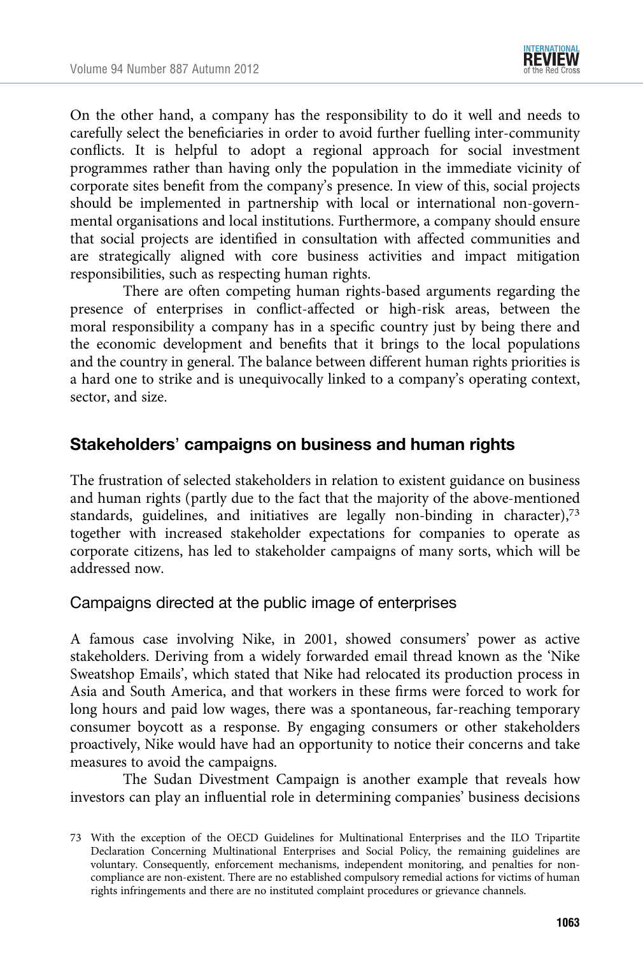On the other hand, a company has the responsibility to do it well and needs to carefully select the beneficiaries in order to avoid further fuelling inter-community conflicts. It is helpful to adopt a regional approach for social investment programmes rather than having only the population in the immediate vicinity of corporate sites benefit from the company's presence. In view of this, social projects should be implemented in partnership with local or international non-governmental organisations and local institutions. Furthermore, a company should ensure that social projects are identified in consultation with affected communities and are strategically aligned with core business activities and impact mitigation responsibilities, such as respecting human rights.

There are often competing human rights-based arguments regarding the presence of enterprises in conflict-affected or high-risk areas, between the moral responsibility a company has in a specific country just by being there and the economic development and benefits that it brings to the local populations and the country in general. The balance between different human rights priorities is a hard one to strike and is unequivocally linked to a company's operating context, sector, and size.

# Stakeholders' campaigns on business and human rights

The frustration of selected stakeholders in relation to existent guidance on business and human rights (partly due to the fact that the majority of the above-mentioned standards, guidelines, and initiatives are legally non-binding in character),73 together with increased stakeholder expectations for companies to operate as corporate citizens, has led to stakeholder campaigns of many sorts, which will be addressed now.

## Campaigns directed at the public image of enterprises

A famous case involving Nike, in 2001, showed consumers' power as active stakeholders. Deriving from a widely forwarded email thread known as the 'Nike Sweatshop Emails', which stated that Nike had relocated its production process in Asia and South America, and that workers in these firms were forced to work for long hours and paid low wages, there was a spontaneous, far-reaching temporary consumer boycott as a response. By engaging consumers or other stakeholders proactively, Nike would have had an opportunity to notice their concerns and take measures to avoid the campaigns.

The Sudan Divestment Campaign is another example that reveals how investors can play an influential role in determining companies' business decisions

<sup>73</sup> With the exception of the OECD Guidelines for Multinational Enterprises and the ILO Tripartite Declaration Concerning Multinational Enterprises and Social Policy, the remaining guidelines are voluntary. Consequently, enforcement mechanisms, independent monitoring, and penalties for noncompliance are non-existent. There are no established compulsory remedial actions for victims of human rights infringements and there are no instituted complaint procedures or grievance channels.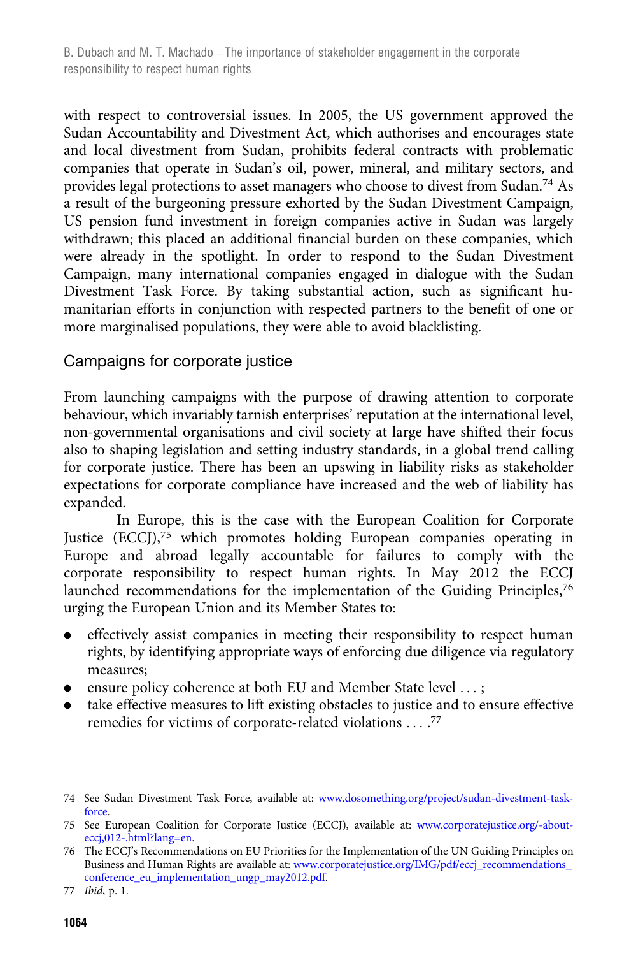with respect to controversial issues. In 2005, the US government approved the Sudan Accountability and Divestment Act, which authorises and encourages state and local divestment from Sudan, prohibits federal contracts with problematic companies that operate in Sudan's oil, power, mineral, and military sectors, and provides legal protections to asset managers who choose to divest from Sudan.74 As a result of the burgeoning pressure exhorted by the Sudan Divestment Campaign, US pension fund investment in foreign companies active in Sudan was largely withdrawn; this placed an additional financial burden on these companies, which were already in the spotlight. In order to respond to the Sudan Divestment Campaign, many international companies engaged in dialogue with the Sudan Divestment Task Force. By taking substantial action, such as significant humanitarian efforts in conjunction with respected partners to the benefit of one or more marginalised populations, they were able to avoid blacklisting.

## Campaigns for corporate justice

From launching campaigns with the purpose of drawing attention to corporate behaviour, which invariably tarnish enterprises' reputation at the international level, non-governmental organisations and civil society at large have shifted their focus also to shaping legislation and setting industry standards, in a global trend calling for corporate justice. There has been an upswing in liability risks as stakeholder expectations for corporate compliance have increased and the web of liability has expanded.

In Europe, this is the case with the European Coalition for Corporate Justice  $(ECC)$ ,<sup>75</sup> which promotes holding European companies operating in Europe and abroad legally accountable for failures to comply with the corporate responsibility to respect human rights. In May 2012 the ECCJ launched recommendations for the implementation of the Guiding Principles,<sup>76</sup> urging the European Union and its Member States to:

- . effectively assist companies in meeting their responsibility to respect human rights, by identifying appropriate ways of enforcing due diligence via regulatory measures;
- . ensure policy coherence at both EU and Member State level ... ;
- . take effective measures to lift existing obstacles to justice and to ensure effective remedies for victims of corporate-related violations . . . . 77

<sup>74</sup> See Sudan Divestment Task Force, available at: [www.dosomething.org/project/sudan-divestment-task](http://www.dosomething.org/project/sudan-divestment-task-force)[force](http://www.dosomething.org/project/sudan-divestment-task-force).

<sup>75</sup> See European Coalition for Corporate Justice (ECCJ), available at: [www.corporatejustice.org/-about](http://www.corporatejustice.org/-about-eccj,012-.html?lang=en)[eccj,012-.html?lang=en.](http://www.corporatejustice.org/-about-eccj,012-.html?lang=en)

<sup>76</sup> The ECCJ's Recommendations on EU Priorities for the Implementation of the UN Guiding Principles on Business and Human Rights are available at: [www.corporatejustice.org/IMG/pdf/eccj\\_recommendations\\_](http://www.corporatejustice.org/IMG/pdf/eccj_recommendations_conference_eu_implementation_ungp_may2012.pdf) [conference\\_eu\\_implementation\\_ungp\\_may2012.pdf](http://www.corporatejustice.org/IMG/pdf/eccj_recommendations_conference_eu_implementation_ungp_may2012.pdf).

<sup>77</sup> Ibid, p. 1.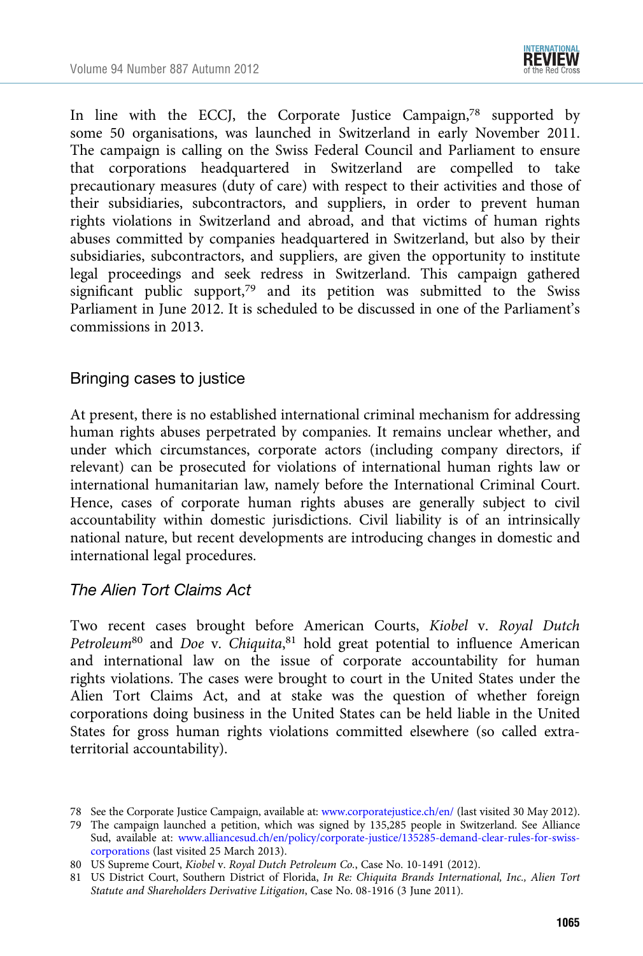

In line with the ECCJ, the Corporate Justice Campaign,78 supported by some 50 organisations, was launched in Switzerland in early November 2011. The campaign is calling on the Swiss Federal Council and Parliament to ensure that corporations headquartered in Switzerland are compelled to take precautionary measures (duty of care) with respect to their activities and those of their subsidiaries, subcontractors, and suppliers, in order to prevent human rights violations in Switzerland and abroad, and that victims of human rights abuses committed by companies headquartered in Switzerland, but also by their subsidiaries, subcontractors, and suppliers, are given the opportunity to institute legal proceedings and seek redress in Switzerland. This campaign gathered significant public support,<sup>79</sup> and its petition was submitted to the Swiss Parliament in June 2012. It is scheduled to be discussed in one of the Parliament's commissions in 2013.

## Bringing cases to justice

At present, there is no established international criminal mechanism for addressing human rights abuses perpetrated by companies. It remains unclear whether, and under which circumstances, corporate actors (including company directors, if relevant) can be prosecuted for violations of international human rights law or international humanitarian law, namely before the International Criminal Court. Hence, cases of corporate human rights abuses are generally subject to civil accountability within domestic jurisdictions. Civil liability is of an intrinsically national nature, but recent developments are introducing changes in domestic and international legal procedures.

## The Alien Tort Claims Act

Two recent cases brought before American Courts, Kiobel v. Royal Dutch Petroleum<sup>80</sup> and Doe v. Chiquita,<sup>81</sup> hold great potential to influence American and international law on the issue of corporate accountability for human rights violations. The cases were brought to court in the United States under the Alien Tort Claims Act, and at stake was the question of whether foreign corporations doing business in the United States can be held liable in the United States for gross human rights violations committed elsewhere (so called extraterritorial accountability).

79 The campaign launched a petition, which was signed by 135,285 people in Switzerland. See Alliance Sud, available at: [www.alliancesud.ch/en/policy/corporate-justice/135285-demand-clear-rules-for-swiss](http://www.alliancesud.ch/en/policy/corporate-justice/135285-demand-clear-rules-for-swiss-corporations)[corporations](http://www.alliancesud.ch/en/policy/corporate-justice/135285-demand-clear-rules-for-swiss-corporations) (last visited 25 March 2013).

<sup>78</sup> See the Corporate Justice Campaign, available at: [www.corporatejustice.ch/en/](http://www.corporatejustice.ch/en/) (last visited 30 May 2012).

<sup>80</sup> US Supreme Court, Kiobel v. Royal Dutch Petroleum Co., Case No. 10-1491 (2012).

<sup>81</sup> US District Court, Southern District of Florida, In Re: Chiquita Brands International, Inc., Alien Tort Statute and Shareholders Derivative Litigation, Case No. 08-1916 (3 June 2011).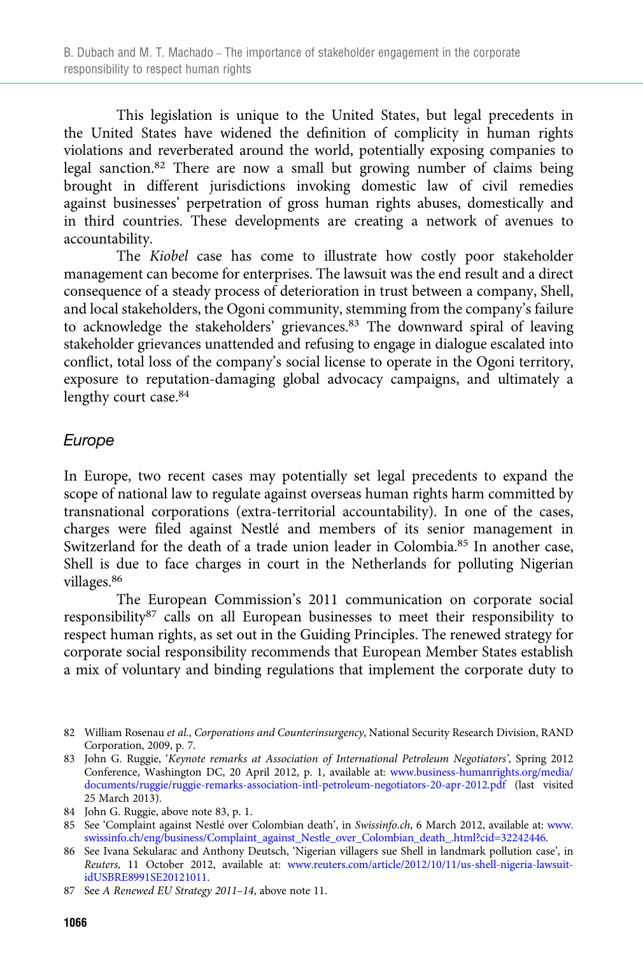This legislation is unique to the United States, but legal precedents in the United States have widened the definition of complicity in human rights violations and reverberated around the world, potentially exposing companies to legal sanction.<sup>82</sup> There are now a small but growing number of claims being brought in different jurisdictions invoking domestic law of civil remedies against businesses' perpetration of gross human rights abuses, domestically and in third countries. These developments are creating a network of avenues to accountability.

The Kiobel case has come to illustrate how costly poor stakeholder management can become for enterprises. The lawsuit was the end result and a direct consequence of a steady process of deterioration in trust between a company, Shell, and local stakeholders, the Ogoni community, stemming from the company's failure to acknowledge the stakeholders' grievances.<sup>83</sup> The downward spiral of leaving stakeholder grievances unattended and refusing to engage in dialogue escalated into conflict, total loss of the company's social license to operate in the Ogoni territory, exposure to reputation-damaging global advocacy campaigns, and ultimately a lengthy court case.<sup>84</sup>

#### Europe

In Europe, two recent cases may potentially set legal precedents to expand the scope of national law to regulate against overseas human rights harm committed by transnational corporations (extra-territorial accountability). In one of the cases, charges were filed against Nestlé and members of its senior management in Switzerland for the death of a trade union leader in Colombia.85 In another case, Shell is due to face charges in court in the Netherlands for polluting Nigerian villages.86

The European Commission's 2011 communication on corporate social responsibility<sup>87</sup> calls on all European businesses to meet their responsibility to respect human rights, as set out in the Guiding Principles. The renewed strategy for corporate social responsibility recommends that European Member States establish a mix of voluntary and binding regulations that implement the corporate duty to

<sup>82</sup> William Rosenau et al., Corporations and Counterinsurgency, National Security Research Division, RAND Corporation, 2009, p. 7.

<sup>83</sup> John G. Ruggie, 'Keynote remarks at Association of International Petroleum Negotiators', Spring 2012 Conference, Washington DC, 20 April 2012, p. 1, available at: [www.business-humanrights.org/media/](http://www.business-humanrights.org/media/documents/ruggie/ruggie-remarks-association-intl-petroleum-negotiators-20-apr-2012.pdf) [documents/ruggie/ruggie-remarks-association-intl-petroleum-negotiators-20-apr-2012.pdf](http://www.business-humanrights.org/media/documents/ruggie/ruggie-remarks-association-intl-petroleum-negotiators-20-apr-2012.pdf) (last visited 25 March 2013).

<sup>84</sup> John G. Ruggie, above note 83, p. 1.

<sup>85</sup> See 'Complaint against Nestlé over Colombian death', in Swissinfo.ch, 6 March 2012, available at: [www.](http://www.swissinfo.ch/eng/business/Complaint_against_Nestle_over_Colombian_death_.html?cid=32242446) [swissinfo.ch/eng/business/Complaint\\_against\\_Nestle\\_over\\_Colombian\\_death\\_.html?cid=32242446.](http://www.swissinfo.ch/eng/business/Complaint_against_Nestle_over_Colombian_death_.html?cid=32242446)

<sup>86</sup> See Ivana Sekularac and Anthony Deutsch, 'Nigerian villagers sue Shell in landmark pollution case', in Reuters, 11 October 2012, available at: [www.reuters.com/article/2012/10/11/us-shell-nigeria-lawsuit](http://www.reuters.com/article/2012/10/11/us-shell-nigeria-lawsuit-idUSBRE8991SE20121011)[idUSBRE8991SE20121011](http://www.reuters.com/article/2012/10/11/us-shell-nigeria-lawsuit-idUSBRE8991SE20121011).

<sup>87</sup> See A Renewed EU Strategy 2011-14, above note 11.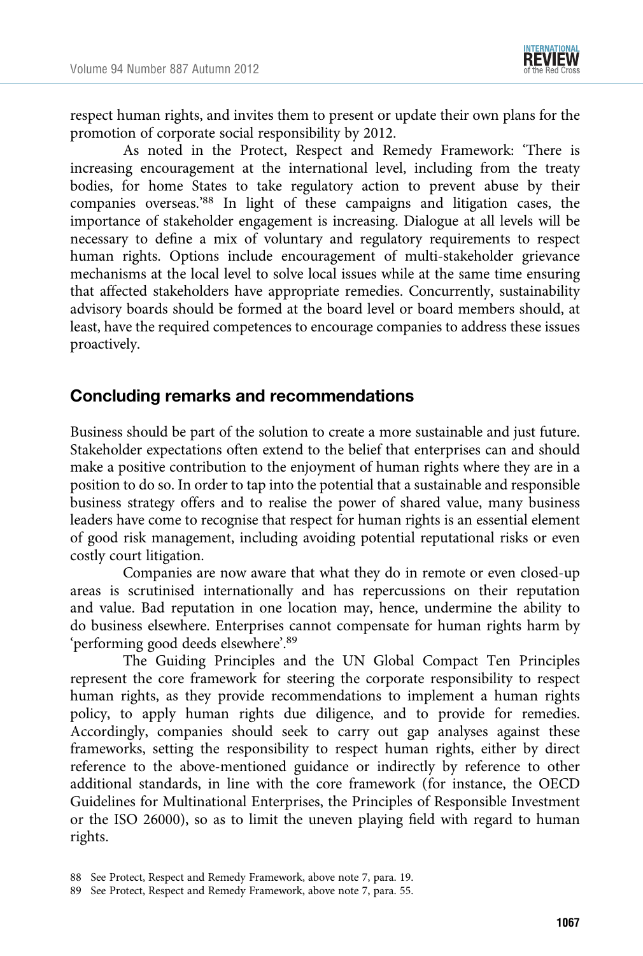respect human rights, and invites them to present or update their own plans for the promotion of corporate social responsibility by 2012.

As noted in the Protect, Respect and Remedy Framework: 'There is increasing encouragement at the international level, including from the treaty bodies, for home States to take regulatory action to prevent abuse by their companies overseas.' <sup>88</sup> In light of these campaigns and litigation cases, the importance of stakeholder engagement is increasing. Dialogue at all levels will be necessary to define a mix of voluntary and regulatory requirements to respect human rights. Options include encouragement of multi-stakeholder grievance mechanisms at the local level to solve local issues while at the same time ensuring that affected stakeholders have appropriate remedies. Concurrently, sustainability advisory boards should be formed at the board level or board members should, at least, have the required competences to encourage companies to address these issues proactively.

#### Concluding remarks and recommendations

Business should be part of the solution to create a more sustainable and just future. Stakeholder expectations often extend to the belief that enterprises can and should make a positive contribution to the enjoyment of human rights where they are in a position to do so. In order to tap into the potential that a sustainable and responsible business strategy offers and to realise the power of shared value, many business leaders have come to recognise that respect for human rights is an essential element of good risk management, including avoiding potential reputational risks or even costly court litigation.

Companies are now aware that what they do in remote or even closed-up areas is scrutinised internationally and has repercussions on their reputation and value. Bad reputation in one location may, hence, undermine the ability to do business elsewhere. Enterprises cannot compensate for human rights harm by 'performing good deeds elsewhere'. 89

The Guiding Principles and the UN Global Compact Ten Principles represent the core framework for steering the corporate responsibility to respect human rights, as they provide recommendations to implement a human rights policy, to apply human rights due diligence, and to provide for remedies. Accordingly, companies should seek to carry out gap analyses against these frameworks, setting the responsibility to respect human rights, either by direct reference to the above-mentioned guidance or indirectly by reference to other additional standards, in line with the core framework (for instance, the OECD Guidelines for Multinational Enterprises, the Principles of Responsible Investment or the ISO 26000), so as to limit the uneven playing field with regard to human rights.

<sup>88</sup> See Protect, Respect and Remedy Framework, above note 7, para. 19.

<sup>89</sup> See Protect, Respect and Remedy Framework, above note 7, para. 55.